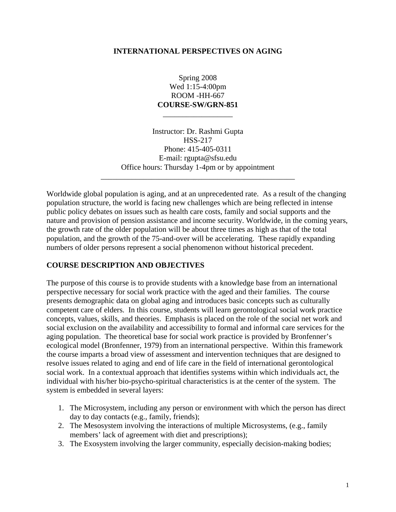#### **INTERNATIONAL PERSPECTIVES ON AGING**

Spring 2008 Wed 1:15-4:00pm ROOM -HH-667 **COURSE-SW/GRN-851**  \_\_\_\_\_\_\_\_\_\_\_\_\_\_\_\_\_\_

Instructor: Dr. Rashmi Gupta HSS-217 Phone: 415-405-0311 E-mail: rgupta@sfsu.edu Office hours: Thursday 1-4pm or by appointment \_\_\_\_\_\_\_\_\_\_\_\_\_\_\_\_\_\_\_\_\_\_\_\_\_\_\_\_\_\_\_\_\_\_\_\_\_\_\_\_\_\_\_\_\_\_\_\_\_\_

Worldwide global population is aging, and at an unprecedented rate. As a result of the changing population structure, the world is facing new challenges which are being reflected in intense public policy debates on issues such as health care costs, family and social supports and the nature and provision of pension assistance and income security. Worldwide, in the coming years, the growth rate of the older population will be about three times as high as that of the total population, and the growth of the 75-and-over will be accelerating. These rapidly expanding numbers of older persons represent a social phenomenon without historical precedent.

#### **COURSE DESCRIPTION AND OBJECTIVES**

The purpose of this course is to provide students with a knowledge base from an international perspective necessary for social work practice with the aged and their families. The course presents demographic data on global aging and introduces basic concepts such as culturally competent care of elders. In this course, students will learn gerontological social work practice concepts, values, skills, and theories. Emphasis is placed on the role of the social net work and social exclusion on the availability and accessibility to formal and informal care services for the aging population. The theoretical base for social work practice is provided by Bronfenner's ecological model (Bronfenner, 1979) from an international perspective. Within this framework the course imparts a broad view of assessment and intervention techniques that are designed to resolve issues related to aging and end of life care in the field of international gerontological social work. In a contextual approach that identifies systems within which individuals act, the individual with his/her bio-psycho-spiritual characteristics is at the center of the system. The system is embedded in several layers:

- 1. The Microsystem, including any person or environment with which the person has direct day to day contacts (e.g., family, friends);
- 2. The Mesosystem involving the interactions of multiple Microsystems, (e.g., family members' lack of agreement with diet and prescriptions);
- 3. The Exosystem involving the larger community, especially decision-making bodies;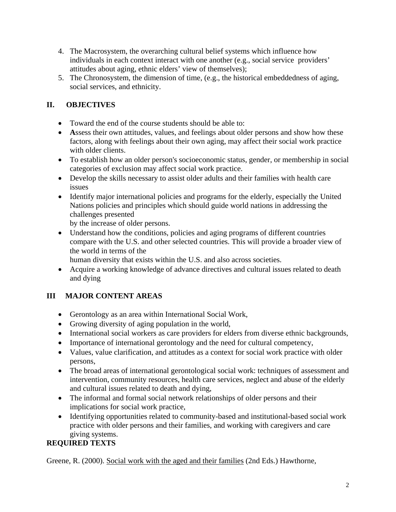- 4. The Macrosystem, the overarching cultural belief systems which influence how individuals in each context interact with one another (e.g., social service providers' attitudes about aging, ethnic elders' view of themselves);
- 5. The Chronosystem, the dimension of time, (e.g., the historical embeddedness of aging, social services, and ethnicity.

## **II. OBJECTIVES**

- Toward the end of the course students should be able to:
- **A**ssess their own attitudes, values, and feelings about older persons and show how these factors, along with feelings about their own aging, may affect their social work practice with older clients.
- To establish how an older person's socioeconomic status, gender, or membership in social categories of exclusion may affect social work practice.
- Develop the skills necessary to assist older adults and their families with health care issues
- Identify major international policies and programs for the elderly, especially the United Nations policies and principles which should guide world nations in addressing the challenges presented

by the increase of older persons.

• Understand how the conditions, policies and aging programs of different countries compare with the U.S. and other selected countries. This will provide a broader view of the world in terms of the

human diversity that exists within the U.S. and also across societies.

• Acquire a working knowledge of advance directives and cultural issues related to death and dying

# **III MAJOR CONTENT AREAS**

- Gerontology as an area within International Social Work,
- Growing diversity of aging population in the world,
- International social workers as care providers for elders from diverse ethnic backgrounds,
- Importance of international gerontology and the need for cultural competency,
- Values, value clarification, and attitudes as a context for social work practice with older persons,
- The broad areas of international gerontological social work: techniques of assessment and intervention, community resources, health care services, neglect and abuse of the elderly and cultural issues related to death and dying,
- The informal and formal social network relationships of older persons and their implications for social work practice,
- Identifying opportunities related to community-based and institutional-based social work practice with older persons and their families, and working with caregivers and care giving systems.

# **REQUIRED TEXTS**

Greene, R. (2000). Social work with the aged and their families (2nd Eds.) Hawthorne,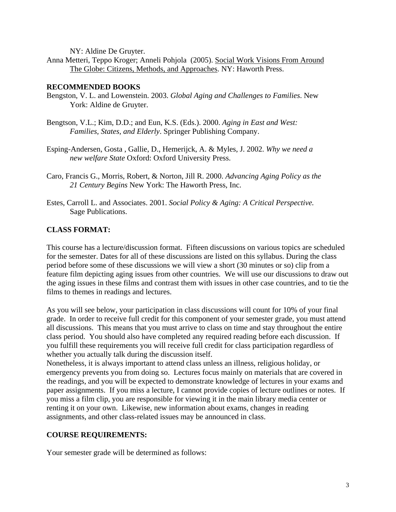NY: Aldine De Gruyter.

Anna Metteri, Teppo Kroger; Anneli Pohjola (2005). Social Work Visions From Around The Globe: Citizens, Methods, and Approaches. NY: Haworth Press.

#### **RECOMMENDED BOOKS**

- Bengston, V. L. and Lowenstein. 2003. *Global Aging and Challenges to Families*. New York: Aldine de Gruyter.
- Bengtson, V.L.; Kim, D.D.; and Eun, K.S. (Eds.). 2000. *Aging in East and West: Families, States, and Elderly*. Springer Publishing Company.
- Esping-Andersen, Gosta , Gallie, D., Hemerijck, A. & Myles, J. 2002. *Why we need a new welfare State* Oxford: Oxford University Press.
- Caro, Francis G., Morris, Robert, & Norton, Jill R. 2000. *Advancing Aging Policy as the 21 Century Begins* New York: The Haworth Press, Inc.
- Estes, Carroll L. and Associates. 2001. *Social Policy & Aging: A Critical Perspective.* Sage Publications.

#### **CLASS FORMAT:**

This course has a lecture/discussion format. Fifteen discussions on various topics are scheduled for the semester. Dates for all of these discussions are listed on this syllabus. During the class period before some of these discussions we will view a short (30 minutes or so) clip from a feature film depicting aging issues from other countries. We will use our discussions to draw out the aging issues in these films and contrast them with issues in other case countries, and to tie the films to themes in readings and lectures.

As you will see below, your participation in class discussions will count for 10% of your final grade. In order to receive full credit for this component of your semester grade, you must attend all discussions. This means that you must arrive to class on time and stay throughout the entire class period. You should also have completed any required reading before each discussion. If you fulfill these requirements you will receive full credit for class participation regardless of whether you actually talk during the discussion itself.

Nonetheless, it is always important to attend class unless an illness, religious holiday, or emergency prevents you from doing so. Lectures focus mainly on materials that are covered in the readings, and you will be expected to demonstrate knowledge of lectures in your exams and paper assignments. If you miss a lecture, I cannot provide copies of lecture outlines or notes. If you miss a film clip, you are responsible for viewing it in the main library media center or renting it on your own. Likewise, new information about exams, changes in reading assignments, and other class-related issues may be announced in class.

#### **COURSE REQUIREMENTS:**

Your semester grade will be determined as follows: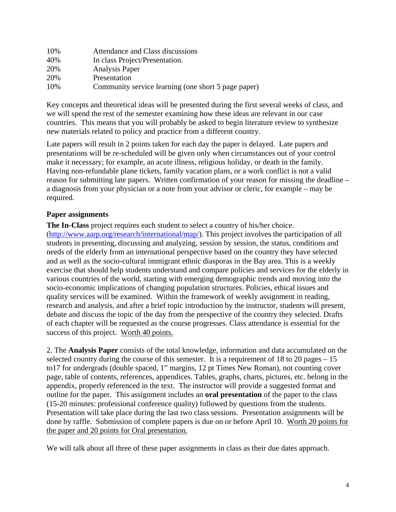| 10% | Attendance and Class discussions                    |
|-----|-----------------------------------------------------|
| 40% | In class Project/Presentation.                      |
| 20% | <b>Analysis Paper</b>                               |
| 20% | Presentation                                        |
| 10% | Community service learning (one short 5 page paper) |

Key concepts and theoretical ideas will be presented during the first several weeks of class, and we will spend the rest of the semester examining how these ideas are relevant in our case countries. This means that you will probably be asked to begin literature review to synthesize new materials related to policy and practice from a different country.

Late papers will result in 2 points taken for each day the paper is delayed. Late papers and presentations will be re-scheduled will be given only when circumstances out of your control make it necessary; for example, an acute illness, religious holiday, or death in the family. Having non-refundable plane tickets, family vacation plans, or a work conflict is not a valid reason for submitting late papers. Written confirmation of your reason for missing the deadline – a diagnosis from your physician or a note from your advisor or cleric, for example – may be required.

#### **Paper assignments**

**The In-Class** project requires each student to select a country of his/her choice. ([http://www.aarp.org/research/international/map/\)](http://www.aarp.org/research/international/map/). This project involves the participation of all students in presenting, discussing and analyzing, session by session, the status, conditions and needs of the elderly from an international perspective based on the country they have selected and as well as the socio-cultural immigrant ethnic diasporas in the Bay area. This is a weekly exercise that should help students understand and compare policies and services for the elderly in various countries of the world, starting with emerging demographic trends and moving into the socio-economic implications of changing population structures. Policies, ethical issues and quality services will be examined. Within the framework of weekly assignment in reading, research and analysis, and after a brief topic introduction by the instructor, students will present, debate and discuss the topic of the day from the perspective of the country they selected. Drafts of each chapter will be requested as the course progresses. Class attendance is essential for the success of this project. Worth 40 points.

2. The **Analysis Paper** consists of the total knowledge, information and data accumulated on the selected country during the course of this semester. It is a requirement of 18 to 20 pages – 15 to17 for undergrads (double spaced, 1" margins, 12 pt Times New Roman), not counting cover page, table of contents, references, appendices. Tables, graphs, charts, pictures, etc. belong in the appendix, properly referenced in the text. The instructor will provide a suggested format and outline for the paper. This assignment includes an **oral presentation** of the paper to the class (15-20 minutes: professional conference quality) followed by questions from the students. Presentation will take place during the last two class sessions. Presentation assignments will be done by raffle. Submission of complete papers is due on or before April 10. Worth 20 points for the paper and 20 points for Oral presentation.

We will talk about all three of these paper assignments in class as their due dates approach.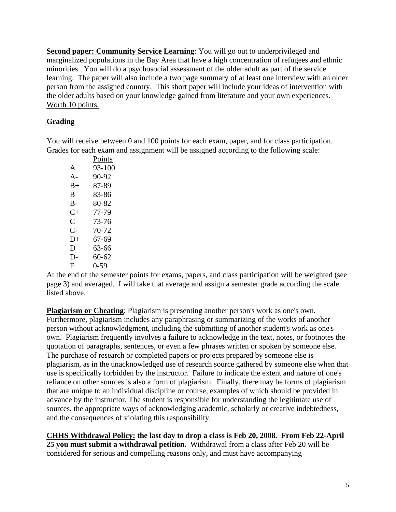**Second paper: Community Service Learning**: You will go out to underprivileged and marginalized populations in the Bay Area that have a high concentration of refugees and ethnic minorities. You will do a psychosocial assessment of the older adult as part of the service learning. The paper will also include a two page summary of at least one interview with an older person from the assigned country. This short paper will include your ideas of intervention with the older adults based on your knowledge gained from literature and your own experiences. Worth 10 points.

## **Grading**

You will receive between 0 and 100 points for each exam, paper, and for class participation. Grades for each exam and assignment will be assigned according to the following scale:

|           | Points     |
|-----------|------------|
| A         | $93 - 100$ |
| A-        | 90-92      |
| $B+$      | 87-89      |
| В         | 83-86      |
| B-        | 80-82      |
| $C+$      | 77-79      |
| $\subset$ | 73-76      |
| C-        | 70-72      |
| D+        | 67-69      |
| D         | 63-66      |
| D-        | 60-62      |
| F         | $0-59$     |

At the end of the semester points for exams, papers, and class participation will be weighted (see page 3) and averaged. I will take that average and assign a semester grade according the scale listed above.

**Plagiarism or Cheating**: Plagiarism is presenting another person's work as one's own. Furthermore, plagiarism includes any paraphrasing or summarizing of the works of another person without acknowledgment, including the submitting of another student's work as one's own. Plagiarism frequently involves a failure to acknowledge in the text, notes, or footnotes the quotation of paragraphs, sentences, or even a few phrases written or spoken by someone else. The purchase of research or completed papers or projects prepared by someone else is plagiarism, as in the unacknowledged use of research source gathered by someone else when that use is specifically forbidden by the instructor. Failure to indicate the extent and nature of one's reliance on other sources is also a form of plagiarism. Finally, there may be forms of plagiarism that are unique to an individual discipline or course, examples of which should be provided in advance by the instructor. The student is responsible for understanding the legitimate use of sources, the appropriate ways of acknowledging academic, scholarly or creative indebtedness, and the consequences of violating this responsibility.

**CHHS Withdrawal Policy: the last day to drop a class is Feb 20, 2008. From Feb 22-April 25 you must submit a withdrawal petition.** Withdrawal from a class after Feb 20 will be considered for serious and compelling reasons only, and must have accompanying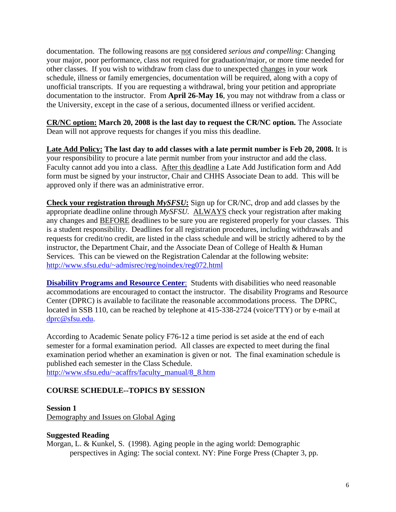documentation. The following reasons are not considered *serious and compelling*: Changing your major, poor performance, class not required for graduation/major, or more time needed for other classes. If you wish to withdraw from class due to unexpected changes in your work schedule, illness or family emergencies, documentation will be required, along with a copy of unofficial transcripts. If you are requesting a withdrawal, bring your petition and appropriate documentation to the instructor. From **April 26-May 16**, you may not withdraw from a class or the University, except in the case of a serious, documented illness or verified accident.

**CR/NC option: March 20, 2008 is the last day to request the CR/NC option.** The Associate Dean will not approve requests for changes if you miss this deadline.

**Late Add Policy: The last day to add classes with a late permit number is Feb 20, 2008.** It is your responsibility to procure a late permit number from your instructor and add the class. Faculty cannot add you into a class. After this deadline a Late Add Justification form and Add form must be signed by your instructor, Chair and CHHS Associate Dean to add. This will be approved only if there was an administrative error.

**Check your registration through** *MySFSU***:** Sign up for CR/NC, drop and add classes by the appropriate deadline online through *MySFSU.* ALWAYS check your registration after making any changes and BEFORE deadlines to be sure you are registered properly for your classes. This is a student responsibility. Deadlines for all registration procedures, including withdrawals and requests for credit/no credit, are listed in the class schedule and will be strictly adhered to by the instructor, the Department Chair, and the Associate Dean of College of Health & Human Services. This can be viewed on the Registration Calendar at the following website: <http://www.sfsu.edu/~admisrec/reg/noindex/reg072.html>

**Disability Programs and Resource Center:** Students with disabilities who need reasonable accommodations are encouraged to contact the instructor. The disability Programs and Resource Center (DPRC) is available to facilitate the reasonable accommodations process. The DPRC, located in SSB 110, can be reached by telephone at 415-338-2724 (voice/TTY) or by e-mail at [dprc@sfsu.edu](mailto:dprc@sfsu.edu).

According to Academic Senate policy F76-12 a time period is set aside at the end of each semester for a formal examination period. All classes are expected to meet during the final examination period whether an examination is given or not. The final examination schedule is published each semester in the Class Schedule. [http://www.sfsu.edu/~acaffrs/faculty\\_manual/8\\_8.htm](http://www.sfsu.edu/~acaffrs/faculty_manual/8_8.htm)

#### **COURSE SCHEDULE--TOPICS BY SESSION**

#### **Session 1**

Demography and Issues on Global Aging

#### **Suggested Reading**

Morgan, L. & Kunkel, S. (1998). Aging people in the aging world: Demographic perspectives in Aging: The social context. NY: Pine Forge Press (Chapter 3, pp.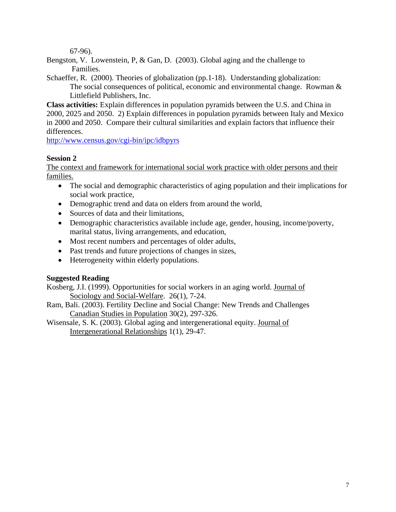67-96).

Bengston, V. Lowenstein, P, & Gan, D. (2003). Global aging and the challenge to Families.

Schaeffer, R. (2000). Theories of globalization (pp.1-18). Understanding globalization: The social consequences of political, economic and environmental change. Rowman  $\&$ Littlefield Publishers, Inc.

**Class activities:** Explain differences in population pyramids between the U.S. and China in 2000, 2025 and 2050. 2) Explain differences in population pyramids between Italy and Mexico in 2000 and 2050. Compare their cultural similarities and explain factors that influence their differences.

<http://www.census.gov/cgi-bin/ipc/idbpyrs>

### **Session 2**

The context and framework for international social work practice with older persons and their families.

- The social and demographic characteristics of aging population and their implications for social work practice,
- Demographic trend and data on elders from around the world,
- Sources of data and their limitations,
- Demographic characteristics available include age, gender, housing, income/poverty, marital status, living arrangements, and education,
- Most recent numbers and percentages of older adults,
- Past trends and future projections of changes in sizes,
- Heterogeneity within elderly populations.

#### **Suggested Reading**

Kosberg, J.I. (1999). Opportunities for social workers in an aging world. Journal of Sociology and Social-Welfare. 26(1), 7-24.

- Ram, Bali. (2003). Fertility Decline and Social Change: New Trends and Challenges Canadian Studies in Population 30(2), 297-326.
- Wisensale, S. K. (2003). Global aging and intergenerational equity. Journal of Intergenerational Relationships 1(1), 29-47.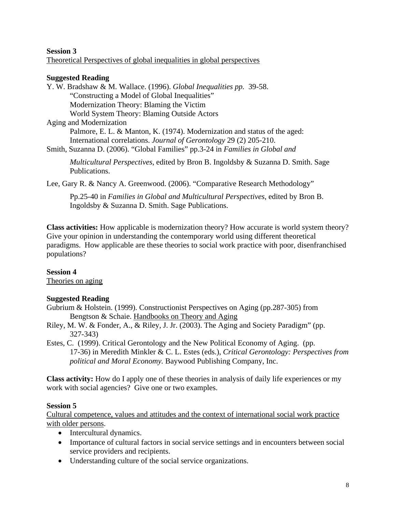#### **Session 3**  Theoretical Perspectives of global inequalities in global perspectives

## **Suggested Reading**

Y. W. Bradshaw & M. Wallace. (1996). *Global Inequalities pp.* 39-58. "Constructing a Model of Global Inequalities" Modernization Theory: Blaming the Victim World System Theory: Blaming Outside Actors Aging and Modernization Palmore, E. L. & Manton, K. (1974). Modernization and status of the aged: International correlations. *Journal of Gerontology* 29 (2) 205-210. Smith, Suzanna D. (2006). "Global Families" pp.3-24 in *Families in Global and* 

*Multicultural Perspectives*, edited by Bron B. Ingoldsby & Suzanna D. Smith. Sage Publications.

Lee, Gary R. & Nancy A. Greenwood. (2006). "Comparative Research Methodology"

Pp.25-40 in *Families in Global and Multicultural Perspectives*, edited by Bron B. Ingoldsby & Suzanna D. Smith. Sage Publications.

**Class activities:** How applicable is modernization theory? How accurate is world system theory? Give your opinion in understanding the contemporary world using different theoretical paradigms. How applicable are these theories to social work practice with poor, disenfranchised populations?

## **Session 4**

Theories on aging

## **Suggested Reading**

- Gubrium & Holstein. (1999). Constructionist Perspectives on Aging (pp.287-305) from Bengtson & Schaie. Handbooks on Theory and Aging
- Riley, M. W. & Fonder, A., & Riley, J. Jr. (2003). The Aging and Society Paradigm" (pp. 327-343)
- Estes, C. (1999). Critical Gerontology and the New Political Economy of Aging. (pp. 17-36) in Meredith Minkler & C. L. Estes (eds.), *Critical Gerontology: Perspectives from political and Moral Economy.* Baywood Publishing Company, Inc.

**Class activity:** How do I apply one of these theories in analysis of daily life experiences or my work with social agencies? Give one or two examples.

## **Session 5**

Cultural competence, values and attitudes and the context of international social work practice with older persons.

- Intercultural dynamics.
- Importance of cultural factors in social service settings and in encounters between social service providers and recipients.
- Understanding culture of the social service organizations.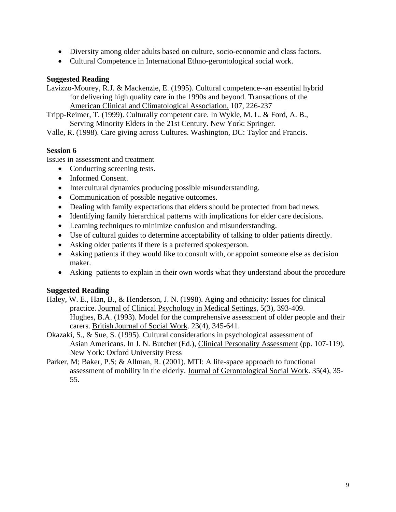- Diversity among older adults based on culture, socio-economic and class factors.
- Cultural Competence in International Ethno-gerontological social work.

#### **Suggested Reading**

Lavizzo-Mourey, R.J. & Mackenzie, E. (1995). Cultural competence--an essential hybrid for delivering high quality care in the 1990s and beyond. Transactions of the American Clinical and Climatological Association. 107, 226-237

Tripp-Reimer, T. (1999). Culturally competent care. In Wykle, M. L. & Ford, A. B., Serving Minority Elders in the 21st Century. New York: Springer.

Valle, R. (1998). Care giving across Cultures. Washington, DC: Taylor and Francis.

#### **Session 6**

Issues in assessment and treatment

- Conducting screening tests.
- Informed Consent.
- Intercultural dynamics producing possible misunderstanding.
- Communication of possible negative outcomes.
- Dealing with family expectations that elders should be protected from bad news.
- Identifying family hierarchical patterns with implications for elder care decisions.
- Learning techniques to minimize confusion and misunderstanding.
- Use of cultural guides to determine acceptability of talking to older patients directly.
- Asking older patients if there is a preferred spokesperson.
- Asking patients if they would like to consult with, or appoint someone else as decision maker.
- Asking patients to explain in their own words what they understand about the procedure

#### **Suggested Reading**

- Haley, W. E., Han, B., & Henderson, J. N. (1998). Aging and ethnicity: Issues for clinical practice. Journal of Clinical Psychology in Medical Settings, 5(3), 393-409. Hughes, B.A. (1993). Model for the comprehensive assessment of older people and their carers. British Journal of Social Work. 23(4), 345-641.
- Okazaki, S., & Sue, S. (1995). Cultural considerations in psychological assessment of Asian Americans. In J. N. Butcher (Ed.), Clinical Personality Assessment (pp. 107-119). New York: Oxford University Press
- Parker, M; Baker, P.S; & Allman, R. (2001). MTI: A life-space approach to functional assessment of mobility in the elderly. Journal of Gerontological Social Work. 35(4), 35- 55.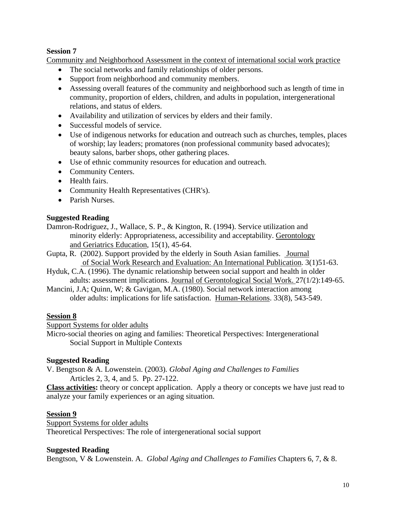### **Session 7**

Community and Neighborhood Assessment in the context of international social work practice

- The social networks and family relationships of older persons.
- Support from neighborhood and community members.
- Assessing overall features of the community and neighborhood such as length of time in community, proportion of elders, children, and adults in population, intergenerational relations, and status of elders.
- Availability and utilization of services by elders and their family.
- Successful models of service.
- Use of indigenous networks for education and outreach such as churches, temples, places of worship; lay leaders; promatores (non professional community based advocates); beauty salons, barber shops, other gathering places.
- Use of ethnic community resources for education and outreach.
- Community Centers.
- Health fairs.
- Community Health Representatives (CHR's).
- Parish Nurses.

### **Suggested Reading**

Damron-Rodriguez, J., Wallace, S. P., & Kington, R. (1994). Service utilization and minority elderly: Appropriateness, accessibility and acceptability. Gerontology and Geriatrics Education, 15(1), 45-64.

- Gupta, R. (2002). Support provided by the elderly in South Asian families. Journal of Social Work Research and Evaluation: An International Publication. 3(1)51-63.
- Hyduk, C.A. (1996). The dynamic relationship between social support and health in older adults: assessment implications. Journal of Gerontological Social Work. 27(1/2):149-65.
- Mancini, J.A; Quinn, W; & Gavigan, M.A. (1980). Social network interaction among older adults: implications for life satisfaction. Human-Relations. 33(8), 543-549.

#### **Session 8**

Support Systems for older adults

Micro-social theories on aging and families: Theoretical Perspectives: Intergenerational Social Support in Multiple Contexts

#### **Suggested Reading**

V. Bengtson & A. Lowenstein. (2003)*. Global Aging and Challenges to Families*  Articles 2, 3, 4, and 5. Pp. 27-122.

**Class activities:** theory or concept application. Apply a theory or concepts we have just read to analyze your family experiences or an aging situation.

## **Session 9**

Support Systems for older adults Theoretical Perspectives: The role of intergenerational social support

#### **Suggested Reading**

Bengtson, V & Lowenstein. A. *Global Aging and Challenges to Families* Chapters 6, 7, & 8.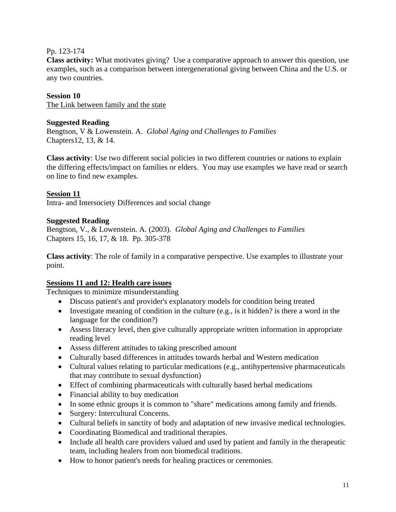### Pp. 123-174

**Class activity:** What motivates giving?Use a comparative approach to answer this question, use examples, such as a comparison between intergenerational giving between China and the U.S. or any two countries.

#### **Session 10**

The Link between family and the state

#### **Suggested Reading**

Bengtson, V & Lowenstein. A. *Global Aging and Challenges to Families*  Chapters12, 13, & 14.

**Class activity**: Use two different social policies in two different countries or nations to explain the differing effects/impact on families or elders. You may use examples we have read or search on line to find new examples.

#### **Session 11**

Intra- and Intersociety Differences and social change

#### **Suggested Reading**

Bengtson, V., & Lowenstein. A. (2003). *Global Aging and Challenges to Families*  Chapters 15, 16, 17, & 18. Pp. 305-378

**Class activity**: The role of family in a comparative perspective. Use examples to illustrate your point.

#### **Sessions 11 and 12: Health care issues**

Techniques to minimize misunderstanding

- Discuss patient's and provider's explanatory models for condition being treated
- Investigate meaning of condition in the culture (e.g., is it hidden? is there a word in the language for the condition?)
- Assess literacy level, then give culturally appropriate written information in appropriate reading level
- Assess different attitudes to taking prescribed amount
- Culturally based differences in attitudes towards herbal and Western medication
- Cultural values relating to particular medications (e.g., antihypertensive pharmaceuticals that may contribute to sexual dysfunction)
- Effect of combining pharmaceuticals with culturally based herbal medications
- Financial ability to buy medication
- In some ethnic groups it is common to "share" medications among family and friends.
- Surgery: Intercultural Concerns.
- Cultural beliefs in sanctity of body and adaptation of new invasive medical technologies.
- Coordinating Biomedical and traditional therapies.
- Include all health care providers valued and used by patient and family in the therapeutic team, including healers from non biomedical traditions.
- How to honor patient's needs for healing practices or ceremonies.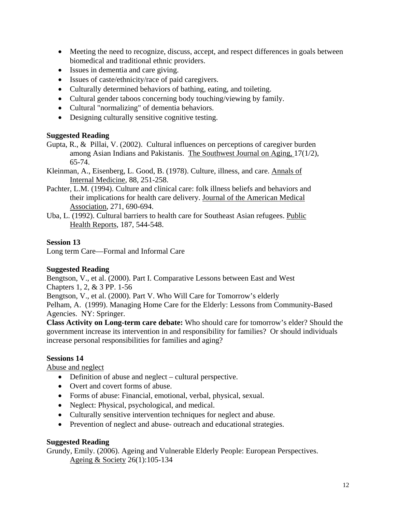- Meeting the need to recognize, discuss, accept, and respect differences in goals between biomedical and traditional ethnic providers.
- Issues in dementia and care giving.
- Issues of caste/ethnicity/race of paid caregivers.
- Culturally determined behaviors of bathing, eating, and toileting.
- Cultural gender taboos concerning body touching/viewing by family.
- Cultural "normalizing" of dementia behaviors.
- Designing culturally sensitive cognitive testing.

#### **Suggested Reading**

- Gupta, R., & Pillai, V. (2002). Cultural influences on perceptions of caregiver burden among Asian Indians and Pakistanis. The Southwest Journal on Aging, 17(1/2), 65-74.
- Kleinman, A., Eisenberg, L. Good, B. (1978). Culture, illness, and care. Annals of Internal Medicine, 88, 251-258.
- Pachter, L.M. (1994). Culture and clinical care: folk illness beliefs and behaviors and their implications for health care delivery. Journal of the American Medical Association, 271, 690-694.
- Uba, L. (1992). Cultural barriers to health care for Southeast Asian refugees. Public Health Reports, 187, 544-548.

### **Session 13**

Long term Care—Formal and Informal Care

#### **Suggested Reading**

Bengtson, V., et al. (2000). Part I. Comparative Lessons between East and West Chapters 1, 2, & 3 PP. 1-56

Bengtson, V., et al. (2000). Part V. Who Will Care for Tomorrow's elderly

Pelham, A. (1999). [Managing Home Care for the Elderly: Lessons from Community-Based](http://www.alibris.com/search/detail.cfm?chunk=25&mtype=&wauth=Anabel%20pelham&qwork=4150867&S=R&bid=9035671424&pbest=17%2E20&pqtynew=0&page=1&matches=4&qsort=r)  [Agencies.](http://www.alibris.com/search/detail.cfm?chunk=25&mtype=&wauth=Anabel%20pelham&qwork=4150867&S=R&bid=9035671424&pbest=17%2E20&pqtynew=0&page=1&matches=4&qsort=r) NY: Springer.

**Class Activity on Long-term care debate:** Who should care for tomorrow's elder? Should the government increase its intervention in and responsibility for families? Or should individuals increase personal responsibilities for families and aging?

## **Sessions 14**

Abuse and neglect

- Definition of abuse and neglect cultural perspective.
- Overt and covert forms of abuse.
- Forms of abuse: Financial, emotional, verbal, physical, sexual.
- Neglect: Physical, psychological, and medical.
- Culturally sensitive intervention techniques for neglect and abuse.
- Prevention of neglect and abuse- outreach and educational strategies.

#### **Suggested Reading**

Grundy, Emily. (2006). Ageing and Vulnerable Elderly People: European Perspectives. Ageing & Society 26(1):105-134